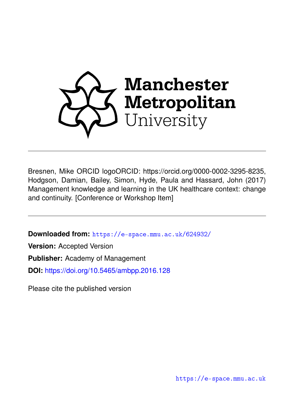

Bresnen, Mike ORCID logoORCID: https://orcid.org/0000-0002-3295-8235, Hodgson, Damian, Bailey, Simon, Hyde, Paula and Hassard, John (2017) Management knowledge and learning in the UK healthcare context: change and continuity. [Conference or Workshop Item]

**Downloaded from:** <https://e-space.mmu.ac.uk/624932/>

**Version:** Accepted Version

**Publisher:** Academy of Management

**DOI:** <https://doi.org/10.5465/ambpp.2016.128>

Please cite the published version

<https://e-space.mmu.ac.uk>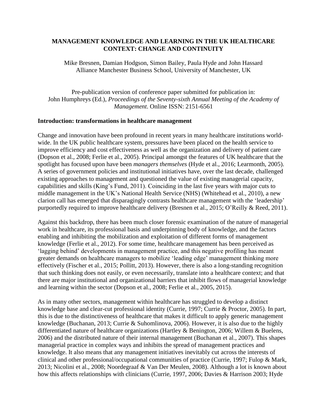### **MANAGEMENT KNOWLEDGE AND LEARNING IN THE UK HEALTHCARE CONTEXT: CHANGE AND CONTINUITY**

Mike Bresnen, Damian Hodgson, Simon Bailey, Paula Hyde and John Hassard Alliance Manchester Business School, University of Manchester, UK

Pre-publication version of conference paper submitted for publication in: John Humphreys (Ed.), *Proceedings of the Seventy-sixth Annual Meeting of the Academy of Management*. Online ISSN: 2151-6561

#### **Introduction: transformations in healthcare management**

Change and innovation have been profound in recent years in many healthcare institutions worldwide. In the UK public healthcare system, pressures have been placed on the health service to improve efficiency and cost effectiveness as well as the organization and delivery of patient care (Dopson et al., 2008; Ferlie et al., 2005). Principal amongst the features of UK healthcare that the spotlight has focused upon have been *managers themselves* (Hyde et al., 2016; Learmonth, 2005). A series of government policies and institutional initiatives have, over the last decade, challenged existing approaches to management and questioned the value of existing managerial capacity, capabilities and skills (King's Fund, 2011). Coinciding in the last five years with major cuts to middle management in the UK's National Health Service (NHS) (Whitehead et al., 2010), a new clarion call has emerged that disparagingly contrasts healthcare management with the 'leadership' purportedly required to improve healthcare delivery (Bresnen et al., 2015; O'Reilly & Reed, 2011).

Against this backdrop, there has been much closer forensic examination of the nature of managerial work in healthcare, its professional basis and underpinning body of knowledge, and the factors enabling and inhibiting the mobilization and exploitation of different forms of management knowledge (Ferlie et al., 2012). For some time, healthcare management has been perceived as 'lagging behind' developments in management practice, and this negative profiling has meant greater demands on healthcare managers to mobilize 'leading edge' management thinking more effectively (Fischer et al., 2015; Pollitt, 2013). However, there is also a long-standing recognition that such thinking does not easily, or even necessarily, translate into a healthcare context; and that there are major institutional and organizational barriers that inhibit flows of managerial knowledge and learning within the sector (Dopson et al., 2008; Ferlie et al., 2005, 2015).

As in many other sectors, management within healthcare has struggled to develop a distinct knowledge base and clear-cut professional identity (Currie, 1997; Currie & Proctor, 2005). In part, this is due to the distinctiveness of healthcare that makes it difficult to apply generic management knowledge (Buchanan, 2013; Currie & Suhomlinova, 2006). However, it is also due to the highly differentiated nature of healthcare organizations (Hartley & Benington, 2006; Willem & Buelens, 2006) and the distributed nature of their internal management (Buchanan et al., 2007). This shapes managerial practice in complex ways and inhibits the spread of management practices and knowledge. It also means that any management initiatives inevitably cut across the interests of clinical and other professional/occupational communities of practice (Currie, 1997; Fulop & Mark, 2013; Nicolini et al., 2008; Noordegraaf & Van Der Meulen, 2008). Although a lot is known about how this affects relationships with clinicians (Currie, 1997, 2006; Davies & Harrison 2003; Hyde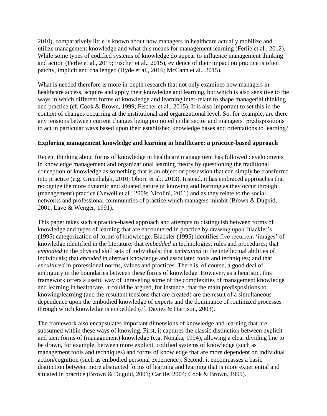2010), comparatively little is known about how managers in healthcare actually mobilize and utilize management knowledge and what this means for management learning (Ferlie et al., 2012). While some types of codified systems of knowledge do appear to influence management thinking and action (Ferlie et al., 2015; Fischer et al., 2015), evidence of their impact on practice is often patchy, implicit and challenged (Hyde et al., 2016; McCann et al., 2015).

What is needed therefore is more in-depth research that not only examines how managers in healthcare access, acquire and apply their knowledge and learning, but which is also sensitive to the ways in which different forms of knowledge and learning inter-relate to shape managerial thinking and practice (cf. Cook & Brown, 1999; Fischer et al., 2015). It is also important to set this in the context of changes occurring at the institutional and organizational level. So, for example, are there any tensions between current changes being promoted in the sector and managers' predispositions to act in particular ways based upon their established knowledge bases and orientations to learning?

# **Exploring management knowledge and learning in healthcare: a practice-based approach**

Recent thinking about forms of knowledge in healthcare management has followed developments in knowledge management and organizational learning theory by questioning the traditional conception of knowledge as something that is an object or possession that can simply be transferred into practice (e.g. Greenhalgh, 2010; Oborn et al., 2013). Instead, it has embraced approaches that recognize the more dynamic and situated nature of knowing and learning as they occur through (management) practice (Newell et al., 2009; Nicolini, 2011) and as they relate to the social networks and professional communities of practice which managers inhabit (Brown & Duguid, 2001; Lave & Wenger, 1991).

This paper takes such a practice-based approach and attempts to distinguish between forms of knowledge and types of learning that are encountered in practice by drawing upon Blackler's (1995) categorization of forms of knowledge. Blackler (1995) identifies five recurrent 'images' of knowledge identified in the literature: that *embedded* in technologies, rules and procedures; that *embodied* in the physical skill sets of individuals; that *embrained* in the intellectual abilities of individuals; that *encoded* in abstract knowledge and associated tools and techniques; and that *encultured* in professional norms, values and practices. There is, of course, a good deal of ambiguity in the boundaries between these forms of knowledge. However, as a heuristic, this framework offers a useful way of unraveling some of the complexities of management knowledge and learning in healthcare. It could be argued, for instance, that the main predispositions to knowing/learning (and the resultant tensions that are created) are the result of a simultaneous dependence upon the embodied knowledge of experts and the dominance of routinized processes through which knowledge is embedded (cf. Davies & Harrison, 2003).

The framework also encapsulates important dimensions of knowledge and learning that are subsumed within these ways of knowing. First, it captures the classic distinction between explicit and tacit forms of (management) knowledge (e.g. Nonaka, 1994), allowing a clear dividing line to be drawn, for example, between more explicit, codified systems of knowledge (such as management tools and techniques) and forms of knowledge that are more dependent on individual action/cognition (such as embodied personal experience). Second, it encompasses a basic distinction between more abstracted forms of learning and learning that is more experiential and situated in practice (Brown & Duguid, 2001; Carlile, 2004; Cook & Brown, 1999).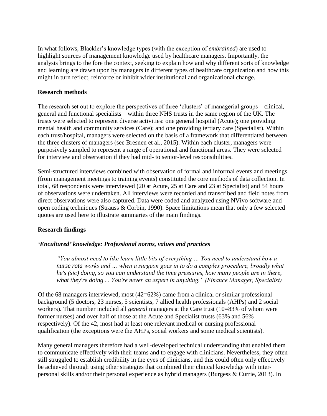In what follows, Blackler's knowledge types (with the exception of *embrained*) are used to highlight sources of management knowledge used by healthcare managers. Importantly, the analysis brings to the fore the context, seeking to explain how and why different sorts of knowledge and learning are drawn upon by managers in different types of healthcare organization and how this might in turn reflect, reinforce or inhibit wider institutional and organizational change.

### **Research methods**

The research set out to explore the perspectives of three 'clusters' of managerial groups – clinical, general and functional specialists – within three NHS trusts in the same region of the UK. The trusts were selected to represent diverse activities: one general hospital (Acute); one providing mental health and community services (Care); and one providing tertiary care (Specialist). Within each trust/hospital, managers were selected on the basis of a framework that differentiated between the three clusters of managers (see Bresnen et al., 2015). Within each cluster, managers were purposively sampled to represent a range of operational and functional areas. They were selected for interview and observation if they had mid- to senior-level responsibilities.

Semi-structured interviews combined with observation of formal and informal events and meetings (from management meetings to training events) constituted the core methods of data collection. In total, 68 respondents were interviewed (20 at Acute, 25 at Care and 23 at Specialist) and 54 hours of observations were undertaken. All interviews were recorded and transcribed and field notes from direct observations were also captured. Data were coded and analyzed using NVivo software and open coding techniques (Strauss & Corbin, 1990). Space limitations mean that only a few selected quotes are used here to illustrate summaries of the main findings.

# **Research findings**

# *'Encultured' knowledge: Professional norms, values and practices*

*"You almost need to like learn little bits of everything … You need to understand how a nurse rota works and … when a surgeon goes in to do a complex procedure, broadly what he's (sic) doing, so you can understand the time pressures, how many people are in there, what they're doing ... You're never an expert in anything." (Finance Manager, Specialist)*

Of the 68 managers interviewed, most (42=62%) came from a clinical or similar professional background (5 doctors, 23 nurses, 5 scientists, 7 allied health professionals (AHPs) and 2 social workers). That number included all *general* managers at the Care trust (10=83% of whom were former nurses) and over half of those at the Acute and Specialist trusts (63% and 56% respectively). Of the 42, most had at least one relevant medical or nursing professional qualification (the exceptions were the AHPs, social workers and some medical scientists).

Many general managers therefore had a well-developed technical understanding that enabled them to communicate effectively with their teams and to engage with clinicians. Nevertheless, they often still struggled to establish credibility in the eyes of clinicians, and this could often only effectively be achieved through using other strategies that combined their clinical knowledge with interpersonal skills and/or their personal experience as hybrid managers (Burgess & Currie, 2013). In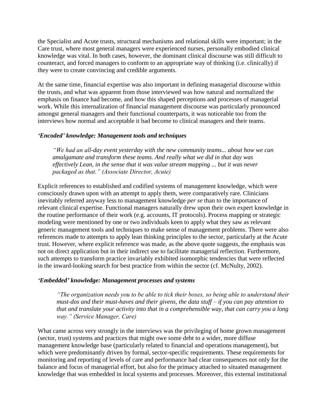the Specialist and Acute trusts, structural mechanisms and relational skills were important; in the Care trust, where most general managers were experienced nurses, personally embodied clinical knowledge was vital. In both cases, however, the dominant clinical discourse was still difficult to counteract, and forced managers to conform to an appropriate way of thinking (i.e. clinically) if they were to create convincing and credible arguments.

At the same time, financial expertise was also important in defining managerial discourse within the trusts, and what was apparent from those interviewed was how natural and normalized the emphasis on finance had become, and how this shaped perceptions and processes of managerial work. While this internalization of financial management discourse was particularly pronounced amongst general managers and their functional counterparts, it was noticeable too from the interviews how normal and acceptable it had become to clinical managers and their teams.

### *'Encoded' knowledge: Management tools and techniques*

*"We had an all-day event yesterday with the new community teams... about how we can amalgamate and transform these teams. And really what we did in that day was effectively Lean, in the sense that it was value stream mapping ... but it was never packaged as that." (Associate Director, Acute)* 

Explicit references to established and codified systems of management knowledge, which were consciously drawn upon with an attempt to apply them, were comparatively rare. Clinicians inevitably referred anyway less to management knowledge *per se* than to the importance of relevant clinical expertise. Functional managers naturally drew upon their own expert knowledge in the routine performance of their work (e.g. accounts, IT protocols). Process mapping or strategic modeling were mentioned by one or two individuals keen to apply what they saw as relevant generic management tools and techniques to make sense of management problems. There were also references made to attempts to apply lean thinking principles to the sector, particularly at the Acute trust. However, where explicit reference was made, as the above quote suggests, the emphasis was not on direct application but in their indirect use to facilitate managerial reflection. Furthermore, such attempts to transform practice invariably exhibited isomorphic tendencies that were reflected in the inward-looking search for best practice from within the sector (cf. McNulty, 2002).

### *'Embedded' knowledge: Management processes and systems*

*"The organization needs you to be able to tick their boxes, so being able to understand their must-dos and their must-haves and their givens, the data stuff – if you can pay attention to that and translate your activity into that in a comprehensible way, that can carry you a long way." (Service Manager, Care)*

What came across very strongly in the interviews was the privileging of home grown management (sector, trust) systems and practices that might owe some debt to a wider, more diffuse management knowledge base (particularly related to financial and operations management), but which were predominantly driven by formal, sector-specific requirements. These requirements for monitoring and reporting of levels of care and performance had clear consequences not only for the balance and focus of managerial effort, but also for the primacy attached to situated management knowledge that was embedded in local systems and processes. Moreover, this external institutional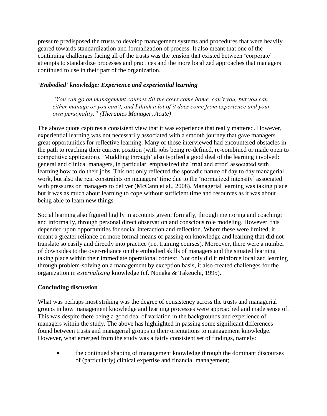pressure predisposed the trusts to develop management systems and procedures that were heavily geared towards standardization and formalization of process. It also meant that one of the continuing challenges facing all of the trusts was the tension that existed between 'corporate' attempts to standardize processes and practices and the more localized approaches that managers continued to use in their part of the organization.

# *'Embodied' knowledge: Experience and experiential learning*

*"You can go on management courses till the cows come home, can't you, but you can either manage or you can't, and I think a lot of it does come from experience and your own personality." (Therapies Manager, Acute)*

The above quote captures a consistent view that it was experience that really mattered. However, experiential learning was not necessarily associated with a smooth journey that gave managers great opportunities for reflective learning. Many of those interviewed had encountered obstacles in the path to reaching their current position (with jobs being re-defined, re-combined or made open to competitive application). 'Muddling through' also typified a good deal of the learning involved: general and clinical managers, in particular, emphasized the 'trial and error' associated with learning how to do their jobs. This not only reflected the sporadic nature of day to day managerial work, but also the real constraints on managers' time due to the 'normalized intensity' associated with pressures on managers to deliver (McCann et al., 2008). Managerial learning was taking place but it was as much about learning to cope without sufficient time and resources as it was about being able to learn new things.

Social learning also figured highly in accounts given: formally, through mentoring and coaching; and informally, through personal direct observation and conscious role modeling. However, this depended upon opportunities for social interaction and reflection. Where these were limited, it meant a greater reliance on more formal means of passing on knowledge and learning that did not translate so easily and directly into practice (i.e. training courses). Moreover, there were a number of downsides to the over-reliance on the embodied skills of managers and the situated learning taking place within their immediate operational context. Not only did it reinforce localized learning through problem-solving on a management by exception basis, it also created challenges for the organization in *externalizing* knowledge (cf. Nonaka & Takeuchi, 1995).

# **Concluding discussion**

What was perhaps most striking was the degree of consistency across the trusts and managerial groups in how management knowledge and learning processes were approached and made sense of. This was despite there being a good deal of variation in the backgrounds and experience of managers within the study. The above has highlighted in passing some significant differences found between trusts and managerial groups in their orientations to management knowledge. However, what emerged from the study was a fairly consistent set of findings, namely:

 the continued shaping of management knowledge through the dominant discourses of (particularly) clinical expertise and financial management;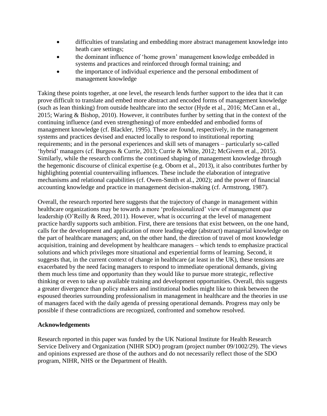- difficulties of translating and embedding more abstract management knowledge into heath care settings;
- the dominant influence of 'home grown' management knowledge embedded in systems and practices and reinforced through formal training; and
- the importance of individual experience and the personal embodiment of management knowledge

Taking these points together, at one level, the research lends further support to the idea that it can prove difficult to translate and embed more abstract and encoded forms of management knowledge (such as lean thinking) from outside healthcare into the sector (Hyde et al., 2016; McCann et al., 2015; Waring & Bishop, 2010). However, it contributes further by setting that in the context of the continuing influence (and even strengthening) of more embedded and embodied forms of management knowledge (cf. Blackler, 1995). These are found, respectively, in the management systems and practices devised and enacted locally to respond to institutional reporting requirements; and in the personal experiences and skill sets of managers – particularly so-called 'hybrid' managers (cf. Burgess & Currie, 2013; Currie & White, 2012; McGivern et al., 2015). Similarly, while the research confirms the continued shaping of management knowledge through the hegemonic discourse of clinical expertise (e.g. Oborn et al., 2013), it also contributes further by highlighting potential countervailing influences. These include the elaboration of integrative mechanisms and relational capabilities (cf. Owen-Smith et al., 2002); and the power of financial accounting knowledge and practice in management decision-making (cf. Armstrong, 1987).

Overall, the research reported here suggests that the trajectory of change in management within healthcare organizations may be towards a more 'professionalized' view of management *qua* leadership (O'Reilly & Reed, 2011). However, what is occurring at the level of management practice hardly supports such ambition. First, there are tensions that exist between, on the one hand, calls for the development and application of more leading-edge (abstract) managerial knowledge on the part of healthcare managers; and, on the other hand, the direction of travel of most knowledge acquisition, training and development by healthcare managers – which tends to emphasize practical solutions and which privileges more situational and experiential forms of learning. Second, it suggests that, in the current context of change in healthcare (at least in the UK), these tensions are exacerbated by the need facing managers to respond to immediate operational demands, giving them much less time and opportunity than they would like to pursue more strategic, reflective thinking or even to take up available training and development opportunities. Overall, this suggests a greater divergence than policy makers and institutional bodies might like to think between the espoused theories surrounding professionalism in management in healthcare and the theories in use of managers faced with the daily agenda of pressing operational demands. Progress may only be possible if these contradictions are recognized, confronted and somehow resolved.

### **Acknowledgements**

Research reported in this paper was funded by the UK National Institute for Health Research Service Delivery and Organization (NIHR SDO) program (project number 09/1002/29). The views and opinions expressed are those of the authors and do not necessarily reflect those of the SDO program, NIHR, NHS or the Department of Health.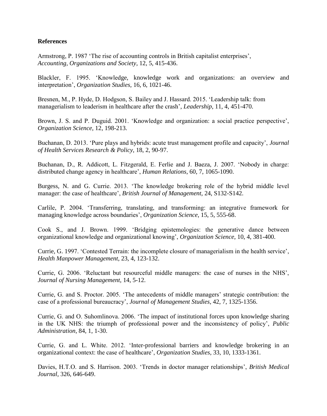### **References**

Armstrong, P. 1987 'The rise of accounting controls in British capitalist enterprises', *Accounting, Organizations and Society*, 12, 5, 415-436.

Blackler, F. 1995. 'Knowledge, knowledge work and organizations: an overview and interpretation', *Organization Studies,* 16, 6, 1021-46.

Bresnen, M., P. Hyde, D. Hodgson, S. Bailey and J. Hassard. 2015. 'Leadership talk: from managerialism to leaderism in healthcare after the crash', *Leadership*, 11, 4, 451-470.

Brown, J. S. and P. Duguid. 2001. 'Knowledge and organization: a social practice perspective', *Organization Science*, 12, 198-213.

Buchanan, D. 2013. 'Pure plays and hybrids: acute trust management profile and capacity', *Journal of Health Services Research & Policy*, 18, 2, 90-97.

Buchanan, D., R. Addicott, L. Fitzgerald, E. Ferlie and J. Baeza, J. 2007. 'Nobody in charge: distributed change agency in healthcare', *Human Relations*, 60, 7, 1065-1090.

Burgess, N. and G. Currie. 2013. 'The knowledge brokering role of the hybrid middle level manager: the case of healthcare', *British Journal of Management*, 24, S132-S142.

Carlile, P. 2004. 'Transferring, translating, and transforming: an integrative framework for managing knowledge across boundaries', *Organization Science*, 15, 5, 555-68.

Cook S., and J. Brown. 1999. 'Bridging epistemologies: the generative dance between organizational knowledge and organizational knowing', *Organization Science*, 10, 4, 381-400.

Currie, G. 1997. 'Contested Terrain: the incomplete closure of managerialism in the health service', *Health Manpower Management*, 23, 4, 123-132.

Currie, G. 2006. 'Reluctant but resourceful middle managers: the case of nurses in the NHS', *Journal of Nursing Management*, 14, 5-12.

Currie, G. and S. Proctor. 2005. 'The antecedents of middle managers' strategic contribution: the case of a professional bureaucracy', *Journal of Management Studies*, 42, 7, 1325-1356.

Currie, G. and O. Suhomlinova. 2006. 'The impact of institutional forces upon knowledge sharing in the UK NHS: the triumph of professional power and the inconsistency of policy', *Public Administration*, 84, 1, 1-30.

Currie, G. and L. White. 2012. 'Inter-professional barriers and knowledge brokering in an organizational context: the case of healthcare', *Organization Studies*, 33, 10, 1333-1361.

Davies, H.T.O. and S. Harrison. 2003. 'Trends in doctor manager relationships', *British Medical Journal*, 326, 646-649.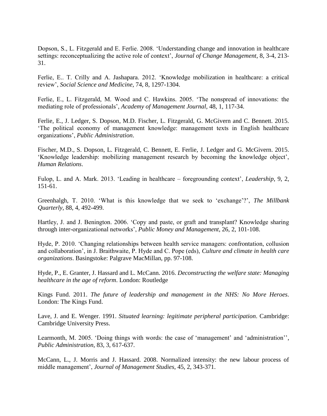Dopson, S., L. Fitzgerald and E. Ferlie. 2008. 'Understanding change and innovation in healthcare settings: reconceptualizing the active role of context', *Journal of Change Management*, 8, 3-4, 213- 31.

Ferlie, E.. T. Crilly and A. Jashapara. 2012. 'Knowledge mobilization in healthcare: a critical review', *Social Science and Medicine*, 74, 8, 1297-1304.

Ferlie, E., L. Fitzgerald, M. Wood and C. Hawkins. 2005. 'The nonspread of innovations: the mediating role of professionals', *Academy of Management Journal,* 48, 1, 117-34.

Ferlie, E., J. Ledger, S. Dopson, M.D. Fischer, L. Fitzgerald, G. McGivern and C. Bennett. 2015. 'The political economy of management knowledge: management texts in English healthcare organizations', *Public Administration*.

Fischer, M.D., S. Dopson, L. Fitzgerald, C. Bennett, E. Ferlie, J. Ledger and G. McGivern. 2015. 'Knowledge leadership: mobilizing management research by becoming the knowledge object', *Human Relations*.

Fulop, L. and A. Mark. 2013. 'Leading in healthcare – foregrounding context', *Leadership*, 9, 2, 151-61.

Greenhalgh, T. 2010. 'What is this knowledge that we seek to 'exchange'?', *The Millbank Quarterly*, 88, 4, 492-499.

Hartley, J. and J. Benington. 2006. 'Copy and paste, or graft and transplant? Knowledge sharing through inter-organizational networks', *Public Money and Management*, 26, 2, 101-108.

Hyde, P. 2010. 'Changing relationships between health service managers: confrontation, collusion and collaboration', in J. Braithwaite, P. Hyde and C. Pope (eds), *Culture and climate in health care organizations*. Basingstoke: Palgrave MacMillan, pp. 97-108.

Hyde, P., E. Granter, J. Hassard and L. McCann. 2016. *Deconstructing the welfare state: Managing healthcare in the age of reform*. London: Routledge

Kings Fund. 2011. *The future of leadership and management in the NHS: No More Heroes*. London: The Kings Fund.

Lave, J. and E. Wenger. 1991. *Situated learning: legitimate peripheral participation*. Cambridge: Cambridge University Press.

Learmonth, M. 2005. 'Doing things with words: the case of 'management' and 'administration'', *Public Administration*, 83, 3, 617-637.

McCann, L., J. Morris and J. Hassard. 2008. Normalized intensity: the new labour process of middle management', *Journal of Management Studies*, 45, 2, 343-371.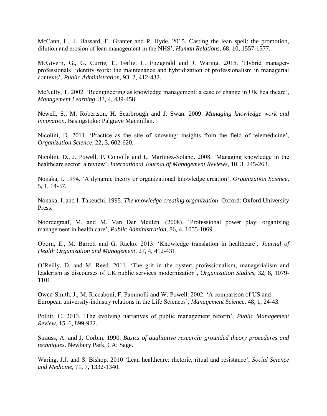McCann, L., J. Hassard, E. Granter and P. Hyde. 2015. Casting the lean spell: the promotion, dilution and erosion of lean management in the NHS', *Human Relations*, 68, 10, 1557-1577.

McGivern, G., G. Currie, E. Ferlie, L. Fitzgerald and J. Waring. 2015. 'Hybrid managerprofessionals' identity work: the maintenance and hybridization of professionalism in managerial contexts', *Public Administration*, 93, 2, 412-432.

McNulty, T. 2002. 'Reengineering as knowledge management: a case of change in UK healthcare', *Management Learning*, 33, 4, 439-458.

Newell, S., M. Robertson, H. Scarbrough and J. Swan. 2009. *Managing knowledge work and innovation*. Basingstoke: Palgrave Macmillan.

Nicolini, D. 2011. 'Practice as the site of knowing: insights from the field of telemedicine', *Organization Science*, 22, 3, 602-620.

Nicolini, D., J. Powell, P. Conville and L. Martinez-Solano. 2008. 'Managing knowledge in the healthcare sector: a review', *International Journal of Management Reviews*, 10, 3, 245-263.

Nonaka, I. 1994. 'A dynamic theory or organizational knowledge creation', *Organization Science*, 5, 1, 14-37.

Nonaka, I. and I. Takeuchi. 1995. *The knowledge creating organization*. Oxford: Oxford University Press.

Noordegraaf, M. and M. Van Der Meulen. (2008). 'Professional power play: organizing management in health care', *Public Administration*, 86, 4, 1055-1069.

Oborn, E., M. Barrett and G. Racko. 2013. 'Knowledge translation in healthcare', *Journal of Health Organization and Management*, 27, 4, 412-431.

O'Reilly, D. and M. Reed. 2011. 'The grit in the oyster: professionalism, managerialism and leaderism as discourses of UK public services modernization', *Organization Studies*, 32, 8, 1079- 1101.

Owen-Smith, J., M. Riccaboni, F. Pammolli and W. Powell. 2002. 'A comparison of US and European university-industry relations in the Life Sciences', *Management Science*, 48, 1, 24-43.

Pollitt, C. 2013. 'The evolving narratives of public management reform', *Public Management Review*, 15, 6, 899-922.

Strauss, A. and J. Corbin. 1990. *Basics of qualitative research: grounded theory procedures and techniques*. Newbury Park, CA: Sage.

Waring, J.J. and S. Bishop. 2010 'Lean healthcare: rhetoric, ritual and resistance', *Social Science and Medicine*, 71, 7, 1332-1340.